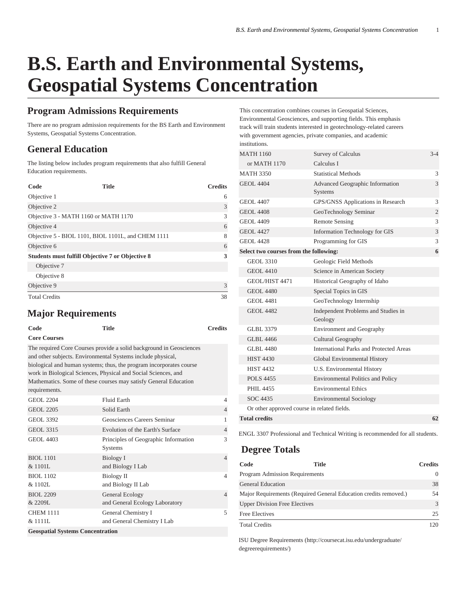# **B.S. Earth and Environmental Systems, Geospatial Systems Concentration**

## **Program Admissions Requirements**

There are no program admission requirements for the BS Earth and Environment Systems, Geospatial Systems Concentration.

## **General Education**

The listing below includes program requirements that also fulfill General Education requirements.

| Code                                                    | <b>Title</b> | <b>Credits</b> |
|---------------------------------------------------------|--------------|----------------|
| Objective 1                                             |              | 6              |
| Objective 2                                             |              | 3              |
| Objective 3 - MATH 1160 or MATH 1170                    |              | 3              |
| Objective 4                                             |              | 6              |
| Objective 5 - BIOL 1101, BIOL 1101L, and CHEM 1111      |              | 8              |
| Objective 6                                             |              | 6              |
| <b>Students must fulfill Objective 7 or Objective 8</b> |              | 3              |
| Objective 7                                             |              |                |
| Objective 8                                             |              |                |
| Objective 9                                             |              | 3              |
| <b>Total Credits</b>                                    |              | 38             |

#### **Major Requirements**

| Code                                                                                                                                                                                                                                                                                                                                                             | <b>Title</b>                                       | <b>Credits</b> |  |  |
|------------------------------------------------------------------------------------------------------------------------------------------------------------------------------------------------------------------------------------------------------------------------------------------------------------------------------------------------------------------|----------------------------------------------------|----------------|--|--|
| <b>Core Courses</b>                                                                                                                                                                                                                                                                                                                                              |                                                    |                |  |  |
| The required Core Courses provide a solid background in Geosciences<br>and other subjects. Environmental Systems include physical,<br>biological and human systems; thus, the program incorporates course<br>work in Biological Sciences, Physical and Social Sciences, and<br>Mathematics. Some of these courses may satisfy General Education<br>requirements. |                                                    |                |  |  |
| <b>GEOL 2204</b>                                                                                                                                                                                                                                                                                                                                                 | Fluid Earth                                        | $\overline{4}$ |  |  |
| <b>GEOL 2205</b>                                                                                                                                                                                                                                                                                                                                                 | Solid Earth                                        | $\overline{4}$ |  |  |
| <b>GEOL 3392</b>                                                                                                                                                                                                                                                                                                                                                 | Geosciences Careers Seminar                        | $\mathbf{1}$   |  |  |
| <b>GEOL 3315</b>                                                                                                                                                                                                                                                                                                                                                 | Evolution of the Earth's Surface                   | $\overline{4}$ |  |  |
| <b>GEOL 4403</b>                                                                                                                                                                                                                                                                                                                                                 | Principles of Geographic Information<br>Systems    | 3              |  |  |
| <b>BIOL 1101</b><br>& 1101L                                                                                                                                                                                                                                                                                                                                      | <b>Biology I</b><br>and Biology I Lab              | $\overline{4}$ |  |  |
| <b>BIOL 1102</b><br>& 1102L                                                                                                                                                                                                                                                                                                                                      | Biology II<br>and Biology II Lab                   | 4              |  |  |
| BIOL 2209<br>&2209L                                                                                                                                                                                                                                                                                                                                              | General Ecology<br>and General Ecology Laboratory  | $\overline{4}$ |  |  |
| <b>CHEM 1111</b><br>& 11111.                                                                                                                                                                                                                                                                                                                                     | General Chemistry I<br>and General Chemistry I Lab | 5              |  |  |
| <b>Geospatial Systems Concentration</b>                                                                                                                                                                                                                                                                                                                          |                                                    |                |  |  |

This concentration combines courses in Geospatial Sciences, Environmental Geosciences, and supporting fields. This emphasis track will train students interested in geotechnology-related careers with government agencies, private companies, and academic institutions.

| <b>MATH 1160</b>                            | <b>Survey of Calculus</b>                                | $3 - 4$        |
|---------------------------------------------|----------------------------------------------------------|----------------|
| or MATH 1170                                | Calculus I                                               |                |
| <b>MATH 3350</b>                            | Statistical Methods                                      | 3              |
| <b>GEOL 4404</b>                            | <b>Advanced Geographic Information</b><br><b>Systems</b> | 3              |
| <b>GEOL 4407</b>                            | GPS/GNSS Applications in Research                        | 3              |
| <b>GEOL 4408</b>                            | GeoTechnology Seminar                                    | $\overline{2}$ |
| GEOL 4409                                   | <b>Remote Sensing</b>                                    | 3              |
| <b>GEOL 4427</b>                            | Information Technology for GIS                           | 3              |
| GEOL 4428                                   | Programming for GIS                                      | 3              |
| Select two courses from the following:      |                                                          | 6              |
| <b>GEOL 3310</b>                            | Geologic Field Methods                                   |                |
| <b>GEOL 4410</b>                            | Science in American Society                              |                |
| GEOL/HIST 4471                              | Historical Geography of Idaho                            |                |
| <b>GEOL 4480</b>                            | Special Topics in GIS                                    |                |
| <b>GEOL 4481</b>                            | GeoTechnology Internship                                 |                |
| <b>GEOL 4482</b>                            | Independent Problems and Studies in<br>Geology           |                |
| <b>GLBL 3379</b>                            | <b>Environment and Geography</b>                         |                |
| GLBL 4466                                   | <b>Cultural Geography</b>                                |                |
| GLBL 4480                                   | <b>International Parks and Protected Areas</b>           |                |
| <b>HIST 4430</b>                            | Global Environmental History                             |                |
| <b>HIST 4432</b>                            | <b>U.S. Environmental History</b>                        |                |
| <b>POLS 4455</b>                            | <b>Environmental Politics and Policy</b>                 |                |
| PHIL 4455                                   | <b>Environmental Ethics</b>                              |                |
| SOC 4435                                    | <b>Environmental Sociology</b>                           |                |
| Or other approved course in related fields. |                                                          |                |
| <b>Total credits</b>                        |                                                          | 62             |

ENGL 3307 Professional and Technical Writing is recommended for all students.

#### **Degree Totals**

| Code                                  | Title                                                            | <b>Credits</b> |
|---------------------------------------|------------------------------------------------------------------|----------------|
| <b>Program Admission Requirements</b> |                                                                  | $\theta$       |
| <b>General Education</b>              |                                                                  | 38             |
|                                       | Major Requirements (Required General Education credits removed.) | 54             |
| <b>Upper Division Free Electives</b>  |                                                                  | $\mathcal{R}$  |
| <b>Free Electives</b>                 |                                                                  | 25             |
| <b>Total Credits</b>                  |                                                                  | 120            |

[ISU Degree Requirements \(http://coursecat.isu.edu/undergraduate/](http://coursecat.isu.edu/undergraduate/degreerequirements/) [degreerequirements/\)](http://coursecat.isu.edu/undergraduate/degreerequirements/)